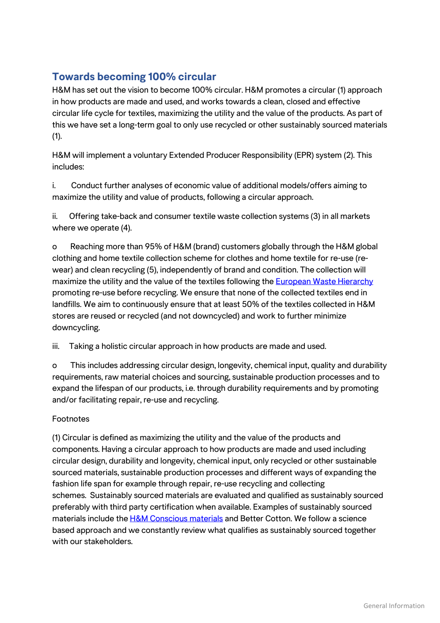## **Towards becoming 100% circular**

H&M has set out the vision to become 100% circular. H&M promotes a circular (1) approach in how products are made and used, and works towards a clean, closed and effective circular life cycle for textiles, maximizing the utility and the value of the products. As part of this we have set a long-term goal to only use recycled or other sustainably sourced materials (1).

H&M will implement a voluntary Extended Producer Responsibility (EPR) system (2). This includes:

i. Conduct further analyses of economic value of additional models/offers aiming to maximize the utility and value of products, following a circular approach.

ii. Offering take-back and consumer textile waste collection systems (3) in all markets where we operate (4).

o Reaching more than 95% of H&M (brand) customers globally through the H&M global clothing and home textile collection scheme for clothes and home textile for re-use (rewear) and clean recycling (5), independently of brand and condition. The collection will maximize the utility and the value of the textiles following the **European Waste Hierarchy** promoting re-use before recycling. We ensure that none of the collected textiles end in landfills. We aim to continuously ensure that at least 50% of the textiles collected in H&M stores are reused or recycled (and not downcycled) and work to further minimize downcycling.

iii. Taking a holistic circular approach in how products are made and used.

o This includes addressing circular design, longevity, chemical input, quality and durability requirements, raw material choices and sourcing, sustainable production processes and to expand the lifespan of our products, i.e. through durability requirements and by promoting and/or facilitating repair, re-use and recycling.

## Footnotes

(1) Circular is defined as maximizing the utility and the value of the products and components. Having a circular approach to how products are made and used including circular design, durability and longevity, chemical input, only recycled or other sustainable sourced materials, sustainable production processes and different ways of expanding the fashion life span for example through repair, re-use recycling and collecting schemes. Sustainably sourced materials are evaluated and qualified as sustainably sourced preferably with third party certification when available. Examples of sustainably sourced materials include the [H&M Conscious materials](http://about.hm.com/en/About/sustainability/hot-topics/more-sustainable-materials.html) and Better Cotton. We follow a science based approach and we constantly review what qualifies as sustainably sourced together with our stakeholders.